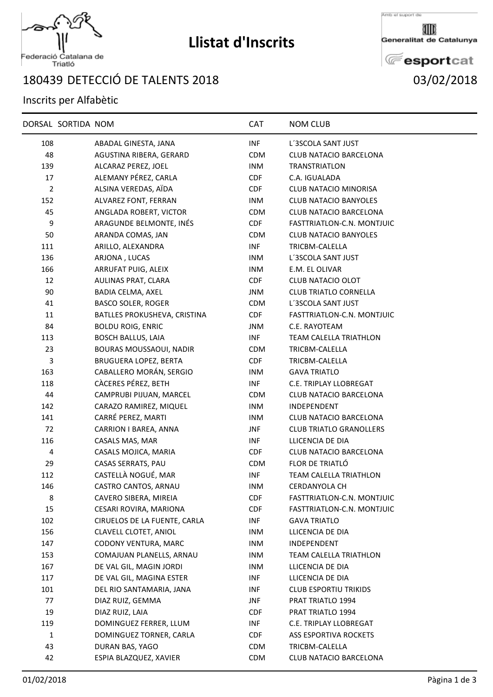

## **Llistat d'Inscrits**

Amb el suport de

Generalitat de Catalunya

**E**esportcat

## Federació Catalana de<br>Triatló

## DETECCIÓ DE TALENTS 2018 03/02/2018

## Inscrits per Alfabètic

|                | DORSAL SORTIDA NOM |                              | <b>CAT</b> | <b>NOM CLUB</b>                   |
|----------------|--------------------|------------------------------|------------|-----------------------------------|
| 108            |                    | ABADAL GINESTA, JANA         | <b>INF</b> | L'3SCOLA SANT JUST                |
| 48             |                    | AGUSTINA RIBERA, GERARD      | <b>CDM</b> | <b>CLUB NATACIO BARCELONA</b>     |
| 139            |                    | ALCARAZ PEREZ, JOEL          | <b>INM</b> | <b>TRANSTRIATLON</b>              |
| 17             |                    | ALEMANY PÉREZ, CARLA         | <b>CDF</b> | C.A. IGUALADA                     |
| $\overline{2}$ |                    | ALSINA VEREDAS, AÏDA         | <b>CDF</b> | <b>CLUB NATACIO MINORISA</b>      |
| 152            |                    | ALVAREZ FONT, FERRAN         | <b>INM</b> | <b>CLUB NATACIO BANYOLES</b>      |
| 45             |                    | ANGLADA ROBERT, VICTOR       | <b>CDM</b> | <b>CLUB NATACIO BARCELONA</b>     |
| 9              |                    | ARAGUNDE BELMONTE, INÉS      | <b>CDF</b> | FASTTRIATLON-C.N. MONTJUIC        |
| 50             |                    | ARANDA COMAS, JAN            | <b>CDM</b> | <b>CLUB NATACIO BANYOLES</b>      |
| 111            |                    | ARILLO, ALEXANDRA            | INF        | TRICBM-CALELLA                    |
| 136            |                    | ARJONA, LUCAS                | <b>INM</b> | L'3SCOLA SANT JUST                |
| 166            |                    | ARRUFAT PUIG, ALEIX          | <b>INM</b> | E.M. EL OLIVAR                    |
| 12             |                    | AULINAS PRAT, CLARA          | <b>CDF</b> | CLUB NATACIO OLOT                 |
| 90             |                    | BADIA CELMA, AXEL            | <b>JNM</b> | <b>CLUB TRIATLO CORNELLA</b>      |
| 41             |                    | <b>BASCO SOLER, ROGER</b>    | <b>CDM</b> | L'3SCOLA SANT JUST                |
| 11             |                    | BATLLES PROKUSHEVA, CRISTINA | <b>CDF</b> | <b>FASTTRIATLON-C.N. MONTJUIC</b> |
| 84             |                    | <b>BOLDU ROIG, ENRIC</b>     | <b>JNM</b> | C.E. RAYOTEAM                     |
| 113            |                    | BOSCH BALLUS, LAIA           | INF        | <b>TEAM CALELLA TRIATHLON</b>     |
| 23             |                    | BOURAS MOUSSAOUI, NADIR      | <b>CDM</b> | TRICBM-CALELLA                    |
| 3              |                    | BRUGUERA LOPEZ, BERTA        | <b>CDF</b> | TRICBM-CALELLA                    |
| 163            |                    | CABALLERO MORÁN, SERGIO      | <b>INM</b> | <b>GAVA TRIATLO</b>               |
| 118            |                    | CÀCERES PÉREZ, BETH          | INF        | C.E. TRIPLAY LLOBREGAT            |
| 44             |                    | CAMPRUBI PIJUAN, MARCEL      | <b>CDM</b> | <b>CLUB NATACIO BARCELONA</b>     |
| 142            |                    | CARAZO RAMIREZ, MIQUEL       | <b>INM</b> | INDEPENDENT                       |
| 141            |                    | CARRÉ PEREZ, MARTI           | <b>INM</b> | CLUB NATACIO BARCELONA            |
| 72             |                    | CARRION I BAREA, ANNA        | JNF        | <b>CLUB TRIATLO GRANOLLERS</b>    |
| 116            |                    | CASALS MAS, MAR              | INF        | LLICENCIA DE DIA                  |
| 4              |                    | CASALS MOJICA, MARIA         | <b>CDF</b> | CLUB NATACIO BARCELONA            |
| 29             |                    | CASAS SERRATS, PAU           | <b>CDM</b> | FLOR DE TRIATLÓ                   |
| 112            |                    | CASTELLÀ NOGUÉ, MAR          | INF        | <b>TEAM CALELLA TRIATHLON</b>     |
| 146            |                    | CASTRO CANTOS, ARNAU         | <b>INM</b> | CERDANYOLA CH                     |
| 8              |                    | CAVERO SIBERA, MIREIA        | <b>CDF</b> | FASTTRIATLON-C.N. MONTJUIC        |
| 15             |                    | CESARI ROVIRA, MARIONA       | <b>CDF</b> | FASTTRIATLON-C.N. MONTJUIC        |
| 102            |                    | CIRUELOS DE LA FUENTE, CARLA | INF        | <b>GAVA TRIATLO</b>               |
| 156            |                    | CLAVELL CLOTET, ANIOL        | <b>INM</b> | LLICENCIA DE DIA                  |
| 147            |                    | CODONY VENTURA, MARC         | <b>INM</b> | INDEPENDENT                       |
| 153            |                    | COMAJUAN PLANELLS, ARNAU     | <b>INM</b> | <b>TEAM CALELLA TRIATHLON</b>     |
| 167            |                    | DE VAL GIL, MAGIN JORDI      | INM.       | LLICENCIA DE DIA                  |
| 117            |                    | DE VAL GIL, MAGINA ESTER     | INF        | LLICENCIA DE DIA                  |
| 101            |                    | DEL RIO SANTAMARIA, JANA     | INF        | <b>CLUB ESPORTIU TRIKIDS</b>      |
| 77             |                    | DIAZ RUIZ, GEMMA             | JNF        | PRAT TRIATLO 1994                 |
| 19             |                    | DIAZ RUIZ, LAIA              | <b>CDF</b> | PRAT TRIATLO 1994                 |
| 119            |                    | DOMINGUEZ FERRER, LLUM       | INF        | C.E. TRIPLAY LLOBREGAT            |
| 1              |                    | DOMINGUEZ TORNER, CARLA      | <b>CDF</b> | ASS ESPORTIVA ROCKETS             |
| 43             |                    | DURAN BAS, YAGO              | <b>CDM</b> | TRICBM-CALELLA                    |
| 42             |                    | ESPIA BLAZQUEZ, XAVIER       | <b>CDM</b> | CLUB NATACIO BARCELONA            |
|                |                    |                              |            |                                   |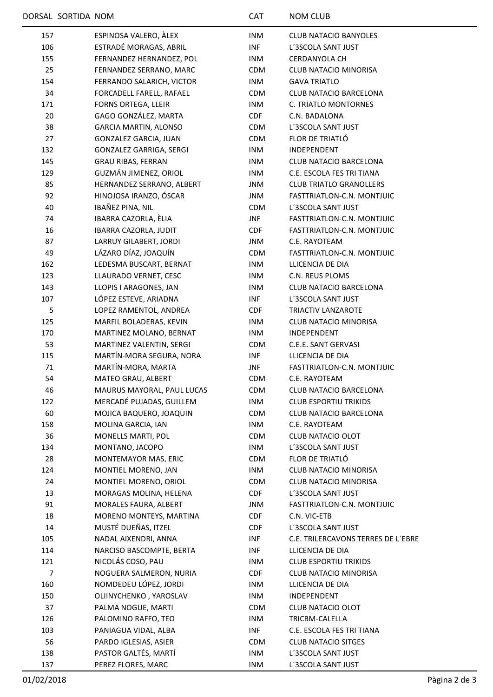| 157 | ESPINOSA VALERO, ALEX        | <b>INM</b> | CLUB NATACIO BANYOLES              |
|-----|------------------------------|------------|------------------------------------|
| 106 | ESTRADÉ MORAGAS, ABRIL       | <b>INF</b> | L'3SCOLA SANT JUST                 |
| 155 | FERNANDEZ HERNANDEZ, POL     | <b>INM</b> | CERDANYOLA CH                      |
| 25  | FERNANDEZ SERRANO, MARC      | <b>CDM</b> | <b>CLUB NATACIO MINORISA</b>       |
| 154 | FERRANDO SALARICH, VICTOR    | <b>INM</b> | <b>GAVA TRIATLO</b>                |
| 34  | FORCADELL FARELL, RAFAEL     | <b>CDM</b> | CLUB NATACIO BARCELONA             |
| 171 | FORNS ORTEGA, LLEIR          | INM        | C. TRIATLO MONTORNES               |
| 20  | GAGO GONZÁLEZ, MARTA         | <b>CDF</b> | C.N. BADALONA                      |
| 38  | <b>GARCIA MARTIN, ALONSO</b> | <b>CDM</b> | L'3SCOLA SANT JUST                 |
| 27  | GONZALEZ GARCIA, JUAN        | <b>CDM</b> | FLOR DE TRIATLÓ                    |
| 132 | GONZALEZ GARRIGA, SERGI      | <b>INM</b> | <b>INDEPENDENT</b>                 |
| 145 | <b>GRAU RIBAS, FERRAN</b>    | <b>INM</b> | CLUB NATACIO BARCELONA             |
| 129 | GUZMÁN JIMENEZ, ORIOL        | <b>INM</b> | C.E. ESCOLA FES TRI TIANA          |
| 85  | HERNANDEZ SERRANO, ALBERT    | JNM        | <b>CLUB TRIATLO GRANOLLERS</b>     |
| 92  | HINOJOSA IRANZO, ÓSCAR       | JNM        | FASTTRIATLON-C.N. MONTJUIC         |
| 40  | IBAÑEZ PINA, NIL             | <b>CDM</b> | L'3SCOLA SANT JUST                 |
| 74  | IBARRA CAZORLA, ÈLIA         | JNF        | FASTTRIATLON-C.N. MONTJUIC         |
| 16  | IBARRA CAZORLA, JUDIT        | <b>CDF</b> | FASTTRIATLON-C.N. MONTJUIC         |
| 87  | LARRUY GILABERT, JORDI       | JNM        | C.E. RAYOTEAM                      |
| 49  | LÁZARO DÍAZ, JOAQUÍN         | <b>CDM</b> | FASTTRIATLON-C.N. MONTJUIC         |
| 162 | LEDESMA BUSCART, BERNAT      | <b>INM</b> | LLICENCIA DE DIA                   |
| 123 | LLAURADO VERNET, CESC        | <b>INM</b> | C.N. REUS PLOMS                    |
| 143 | LLOPIS I ARAGONES, JAN       | <b>INM</b> | CLUB NATACIO BARCELONA             |
| 107 | LÓPEZ ESTEVE, ARIADNA        | INF        | L'3SCOLA SANT JUST                 |
| 5   | LOPEZ RAMENTOL, ANDREA       | <b>CDF</b> | TRIACTIV LANZAROTE                 |
| 125 | MARFIL BOLADERAS, KEVIN      | <b>INM</b> | CLUB NATACIO MINORISA              |
| 170 | MARTINEZ MOLANO, BERNAT      | <b>INM</b> | INDEPENDENT                        |
| 53  | MARTINEZ VALENTIN, SERGI     | <b>CDM</b> | C.E.E. SANT GERVASI                |
| 115 | MARTÍN-MORA SEGURA, NORA     | <b>INF</b> | LLICENCIA DE DIA                   |
| 71  | MARTÍN-MORA, MARTA           | <b>JNF</b> | FASTTRIATLON-C.N. MONTJUIC         |
| 54  | MATEO GRAU, ALBERT           | <b>CDM</b> | C.E. RAYOTEAM                      |
| 46  | MAURUS MAYORAL, PAUL LUCAS   | CDM        | <b>CLUB NATACIO BARCELONA</b>      |
| 122 | MERCADÉ PUJADAS, GUILLEM     | <b>INM</b> | <b>CLUB ESPORTIU TRIKIDS</b>       |
| 60  | MOJICA BAQUERO, JOAQUIN      | <b>CDM</b> | <b>CLUB NATACIO BARCELONA</b>      |
| 158 | MOLINA GARCIA, IAN           | INM        | C.E. RAYOTEAM                      |
| 36  | MONELLS MARTI, POL           | <b>CDM</b> | <b>CLUB NATACIO OLOT</b>           |
| 134 | MONTANO, JACOPO              | INM        | L'3SCOLA SANT JUST                 |
| 28  | MONTEMAYOR MAS, ERIC         | <b>CDM</b> | FLOR DE TRIATLÓ                    |
| 124 | MONTIEL MORENO, JAN          | INM        | <b>CLUB NATACIO MINORISA</b>       |
| 24  | MONTIEL MORENO, ORIOL        | <b>CDM</b> | <b>CLUB NATACIO MINORISA</b>       |
| 13  | MORAGAS MOLINA, HELENA       | CDF        | L'3SCOLA SANT JUST                 |
| 91  | MORALES FAURA, ALBERT        | JNM        | FASTTRIATLON-C.N. MONTJUIC         |
| 18  | MORENO MONTEYS, MARTINA      | CDF        | C.N. VIC-ETB                       |
| 14  | MUSTÉ DUEÑAS, ITZEL          | <b>CDF</b> | L'3SCOLA SANT JUST                 |
| 105 | NADAL AIXENDRI, ANNA         | INF        | C.E. TRILERCAVONS TERRES DE L'EBRE |
| 114 | NARCISO BASCOMPTE, BERTA     | <b>INF</b> | LLICENCIA DE DIA                   |
| 121 | NICOLÁS COSO, PAU            | INM        | <b>CLUB ESPORTIU TRIKIDS</b>       |
| 7   | NOGUERA SALMERON, NURIA      | <b>CDF</b> | CLUB NATACIO MINORISA              |
| 160 | NOMDEDEU LÓPEZ, JORDI        | <b>INM</b> | LLICENCIA DE DIA                   |
| 150 | OLIINYCHENKO, YAROSLAV       | <b>INM</b> | INDEPENDENT                        |
| 37  | PALMA NOGUE, MARTI           | <b>CDM</b> | <b>CLUB NATACIO OLOT</b>           |
| 126 | PALOMINO RAFFO, TEO          | INM        | TRICBM-CALELLA                     |
| 103 | PANIAGUA VIDAL, ALBA         | INF        | C.E. ESCOLA FES TRI TIANA          |
| 56  | PARDO IGLESIAS, ASIER        | <b>CDM</b> | <b>CLUB NATACIO SITGES</b>         |
| 138 | PASTOR GALTÉS, MARTÍ         | <b>INM</b> | L'3SCOLA SANT JUST                 |
| 137 | PEREZ FLORES, MARC           | <b>INM</b> | L'3SCOLA SANT JUST                 |